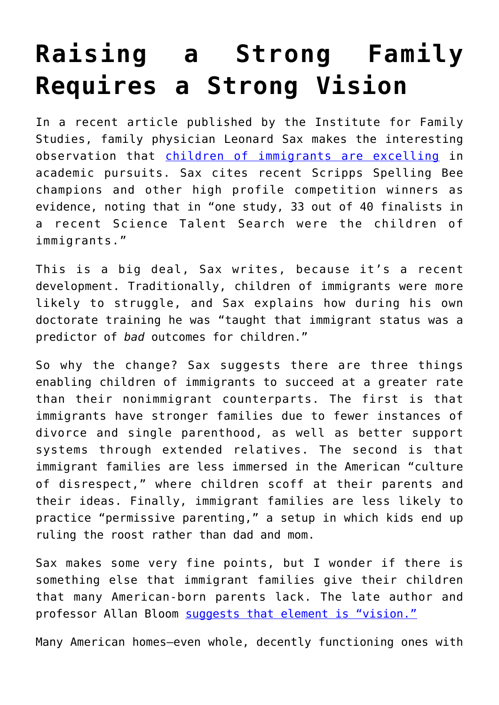## **[Raising a Strong Family](https://intellectualtakeout.org/2021/04/raising-a-strong-family-requires-a-strong-vision/) [Requires a Strong Vision](https://intellectualtakeout.org/2021/04/raising-a-strong-family-requires-a-strong-vision/)**

In a recent article published by the Institute for Family Studies, family physician Leonard Sax makes the interesting observation that [children of immigrants are excelling](https://ifstudies.org/blog/the-immigrant-paradox-why-are-children-of-immigrants-doing-better) in academic pursuits. Sax cites recent Scripps Spelling Bee champions and other high profile competition winners as evidence, noting that in "one study, 33 out of 40 finalists in a recent Science Talent Search were the children of immigrants."

This is a big deal, Sax writes, because it's a recent development. Traditionally, children of immigrants were more likely to struggle, and Sax explains how during his own doctorate training he was "taught that immigrant status was a predictor of *bad* outcomes for children."

So why the change? Sax suggests there are three things enabling children of immigrants to succeed at a greater rate than their nonimmigrant counterparts. The first is that immigrants have stronger families due to fewer instances of divorce and single parenthood, as well as better support systems through extended relatives. The second is that immigrant families are less immersed in the American "culture of disrespect," where children scoff at their parents and their ideas. Finally, immigrant families are less likely to practice "permissive parenting," a setup in which kids end up ruling the roost rather than dad and mom.

Sax makes some very fine points, but I wonder if there is something else that immigrant families give their children that many American-born parents lack. The late author and professor Allan Bloom [suggests that element is "vision."](https://www.amazon.com/gp/product/1451683200/ref=as_li_qf_asin_il_tl?ie=UTF8&tag=intelltakeo0d-20&creative=9325&linkCode=as2&creativeASIN=1451683200&linkId=099347855a2398c5a33c1e84c679f594)

Many American homes—even whole, decently functioning ones with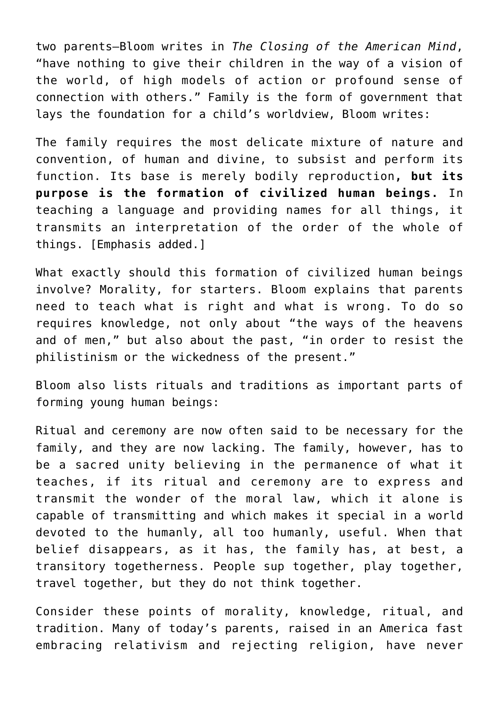two parents—Bloom writes in *The Closing of the American Mind*, "have nothing to give their children in the way of a vision of the world, of high models of action or profound sense of connection with others." Family is the form of government that lays the foundation for a child's worldview, Bloom writes:

The family requires the most delicate mixture of nature and convention, of human and divine, to subsist and perform its function. Its base is merely bodily reproduction**, but its purpose is the formation of civilized human beings.** In teaching a language and providing names for all things, it transmits an interpretation of the order of the whole of things. [Emphasis added.]

What exactly should this formation of civilized human beings involve? Morality, for starters. Bloom explains that parents need to teach what is right and what is wrong. To do so requires knowledge, not only about "the ways of the heavens and of men," but also about the past, "in order to resist the philistinism or the wickedness of the present."

Bloom also lists rituals and traditions as important parts of forming young human beings:

Ritual and ceremony are now often said to be necessary for the family, and they are now lacking. The family, however, has to be a sacred unity believing in the permanence of what it teaches, if its ritual and ceremony are to express and transmit the wonder of the moral law, which it alone is capable of transmitting and which makes it special in a world devoted to the humanly, all too humanly, useful. When that belief disappears, as it has, the family has, at best, a transitory togetherness. People sup together, play together, travel together, but they do not think together.

Consider these points of morality, knowledge, ritual, and tradition. Many of today's parents, raised in an America fast embracing relativism and rejecting religion, have never